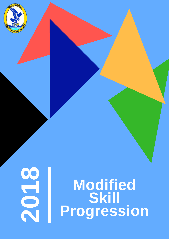

# O Modified<br>Skill<br>Progression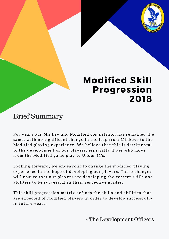

# Modified Skill Progression 2018

## Brief Summary

For years our Minkey and Modified competition has remained the same, with no significant change in the leap from Minkeys to the Modified playing experience. We believe that this is detrimental to the development of our players; especially those who move from the Modified game play to Under 11's.

Looking forward, we endeavour to change the modified playing experience in the hope of developing our players. These changes will ensure that our players are developing the correct skills and abilities to be successful in their respective grades.

This skill progression matrix defines the skills and abilities that are expected of modified players in order to develop successfully in future years.

- The Development Officers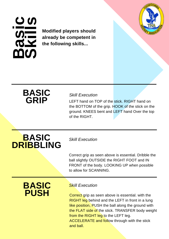#### <u> ကက</u> **a** <u>ဟု—</u> **i c S ki i i i i i i l l s**

 **already be competent in Modified players should the following skills...**



## **BASIC GRIP**

#### *Skill Execution*

LEFT hand on TOP of the stick. RIGHT hand on the BOTTOM of the grip. HOOK of the stick on the ground. KNEES bent and LEFT hand Over the top of the RIGHT.

# **BASIC DRIBBLING**

*Skill Execution*

Correct grip as seen above is essential. Dribble the ball slightly OUTSIDE the RIGHT FOOT and IN FRONT of the body. LOOKING UP when possible to allow for SCANNING.

## **BASIC PUSH**

#### *Skill Execution*

Correct grip as seen above is essential. with the **RIGHT leg** behind and the LEFT in front in a lung like position, PUSH the ball along the ground with the FLAT side of the stick. TRANSFER body weight from the RIGHT leg to the LEFT leg. ACCELERATE and follow through with the stick and ball.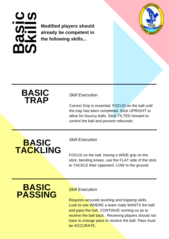#### <u> က</u>က **a** <u>ဟု—</u> **i c ski** in the second of the second of the second of the second of the second of the second of the second of the second of the second of the second of the second of the second of the second of the second of the second of the s **l l**

 **Modified players should already be competent in the following skills...**



## **BASIC TRAP**

#### *Skill Execution*

Correct Grip is essential. FOCUS on the ball until the trap has been completed. Stick UPRIGHT to allow for bouncy balls. Stick TILTED forward to control the ball and prevent rebounds.

# **BASIC TACKLING**

#### *Skill Execution*

FOCUS on the ball. having a WIDE grip on the stick, bending knees, use the FLAT side of the stick to TACKLE their opponent. LOW to the ground.

## **BASIC PASSING**

#### *Skill Execution*

Requires accurate pushing and trapping skills. Look to see WHERE a team mate WANTS the ball and pass the ball. CONTINUE running so as to receive the ball back. Receiving players should not have to change pace to receive the ball. Pass must be ACCURATE.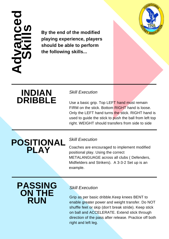#### **Advanced**<u>(၇</u> **ki i i i i i l l s**

 **the following skills... By the end of the modified playing experience, players should be able to perform**



## **INDIAN DRIBBLE**

#### *Skill Execution*

Use a basic grip. Top LEFT hand must remain FIRM on the stick. Bottom RIGHT hand is loose. Only the LEFT hand turns the stick. RIGHT hand is used to guide the stick to push the ball from left top right. WEIGHT should transfers from side to side

# **POSITIONAL PLAY**

#### *Skill Execution*

Coaches are encouraged to implement modified positional play. Using the correct METALANGUAGE across all clubs ( Defenders, Midfielders and Strikers). A 3-3-2 Set up is an example.

## **PASSING ON THE RUN**

#### *Skill Execution*

Grip as per basic dribble.Keep knees BENT to enable greater power and weight transfer. Do NOT shuffle feet or skip (don't break stride). Keep stick on ball and ACCELERATE. Extend stick through direction of the pass after release. Practice off both right and left leg.